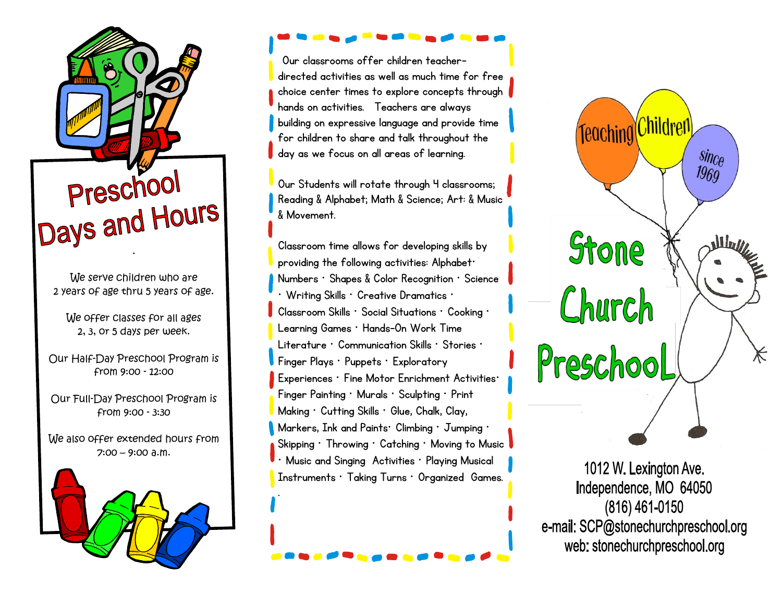

We serve children who are 2 years of age thru 5 years of age.

We offer classes for all ages 2, 3, or 5 days per week.

Our Half-Day Preschool Program is from 9:00 - 12:00

Our Full-Day Preschool Program is from 9:00 - 3:30

We also offer extended hours from  $7:00 - 9:00$  a.m.



Our classrooms offer children teacherdirected activities as well as much time for free choice center times to explore concepts through hands on activities. Teachers are always building on expressive language and provide time for children to share and talk throughout the day as we focus on all areas of learning.

Our Students will rotate through 4 classrooms; Reading & Alphabet; Math & Science; Art: & Music & Movement.

Classroom time allows for developing skills by providing the following activities: Alphabet· Numbers · Shapes & Color Recognition · Science  $\cdot$  Writing Skills  $\cdot$  Creative Dramatics  $\cdot$ Classroom Skills · Social Situations · Cooking · Learning Games · Hands-0n Work Time Literature · Communication Skills · Stories · Finger Plays · Puppets · Exploratory Experiences · Fine Motor Enrichment Activities· Finger Painting · Murals · Sculpting · Print Making · Cutting Skills · Glue, Chalk, Clay, Markers, Ink and Paints· Climbing · Jumping · Skipping · Throwing · Catching · Moving to Music Music and Singing Activities · Playing Musical Instruments · Taking Turns · Organized Games. .



1012 W. Lexington Ave. Independence, MO 64050  $(816)$  461-0150 e-mail: SCP@stonechurchpreschool.org web: stonechurchpreschool.org